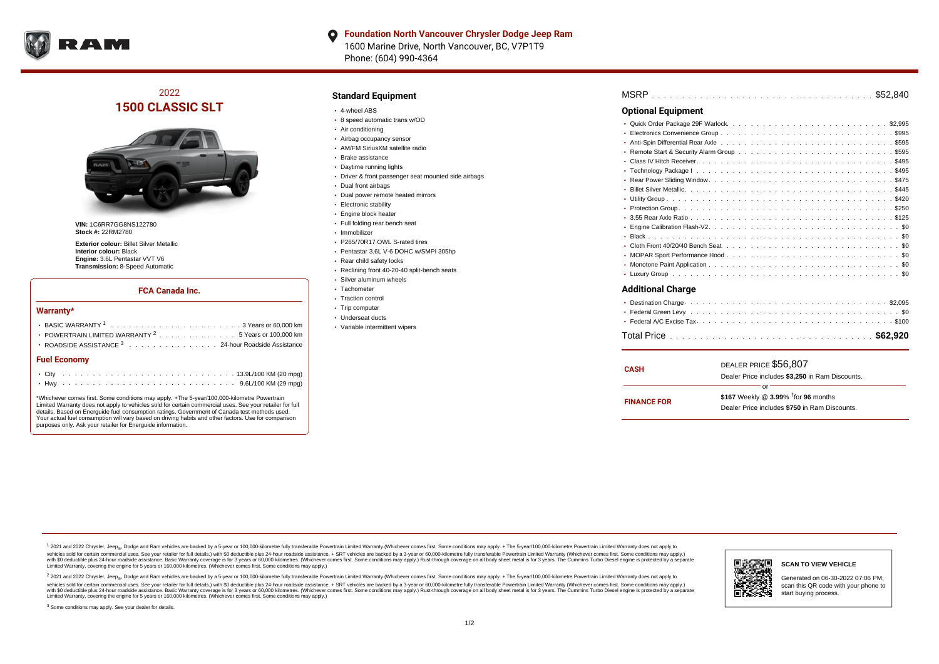

#### **Foundation North Vancouver Chrysler Dodge Jeep Ram** O 1600 Marine Drive, North Vancouver, BC, V7P1T9 Phone: (604) 990-4364

# 2022 **1500 CLASSIC SLT**



**VIN:** 1C6RR7GG8NS122780 **Stock #:** 22RM2780

**Exterior colour:** Billet Silver Metallic **Interior colour:** Black **Engine:** 3.6L Pentastar VVT V6 **Transmission:** 8-Speed Automatic

#### **FCA Canada Inc.**

#### **Warranty\***

| POWERTRAIN LIMITED WARRANTY $2, \ldots, \ldots, \ldots, \ldots, 5$ Years or 100,000 km |  |  |  |  |  |  |  |  |  |  |  |  |  |  |  |  |  |
|----------------------------------------------------------------------------------------|--|--|--|--|--|--|--|--|--|--|--|--|--|--|--|--|--|
| • ROADSIDE ASSISTANCE 3 24-hour Roadside Assistance                                    |  |  |  |  |  |  |  |  |  |  |  |  |  |  |  |  |  |
| <b>Fuel Economy</b>                                                                    |  |  |  |  |  |  |  |  |  |  |  |  |  |  |  |  |  |
|                                                                                        |  |  |  |  |  |  |  |  |  |  |  |  |  |  |  |  |  |
|                                                                                        |  |  |  |  |  |  |  |  |  |  |  |  |  |  |  |  |  |

\*Whichever comes first. Some conditions may apply. +The 5-year/100,000-kilometre Powertrain Limited Warranty does not apply to vehicles sold for certain commercial uses. See your retailer for full details. Based on Energuide fuel consumption ratings. Government of Canada test methods used. Your actual fuel consumption will vary based on driving habits and other factors. Use for comparison purposes only. Ask your retailer for Energuide information.

### **Standard Equipment**

- 4-wheel ABS
- 8 speed automatic trans w/OD
- Air conditioning
- Airbag occupancy sensor
- AM/FM SiriusXM satellite radio
- Brake assistance
- **Daytime running lights**
- Driver & front passenger seat mounted side airbags
- Dual front airbags
- Dual power remote heated mirrors
- **Electronic stability**
- Engine block heater
- Full folding rear bench seat
- Immobilizer
- P265/70R17 OWL S-rated tires
- Pentastar 3.6L V-6 DOHC w/SMPI 305hp
- Rear child safety locks
- Reclining front 40-20-40 split-bench seats
- Silver aluminum wheels
- Tachometer
- Traction control • Trip computer
- Underseat ducts
- Variable intermittent wipers
- 

### . . . . . . . . . . . . . . . . . . . . . . . . . . . . . . . . . . . . . . . . . . . . . . MSRP \$52,840 . . . . . . . . . . . . . . . . . . . . . . . . . . . . . . . . . . . . . . . . . . . . . . Quick Order Package 29F Warlock \$2,995 . . . . . . . . . . . . . . . . . . . . . . . . . . . . . . . . . . . . . . . . . . . . . . Electronics Convenience Group \$995 Anti-Spin Differential Rear Axle ................................5595 Remote Start & Security Alarm Group  $\ldots \ldots \ldots \ldots \ldots \ldots \ldots \ldots \ldots \ldots \ldots$ \$595 . . . . . . . . . . . . . . . . . . . . . . . . . . . . . . . . . . . . . . . . . . . . . . Class IV Hitch Receiver \$495 . . . . . . . . . . . . . . . . . . . . . . . . . . . . . . . . . . . . . . . . . . . . . . Technology Package I \$495 . . . . . . . . . . . . . . . . . . . . . . . . . . . . . . . . . . . . . . . . . . . . . . Rear Power Sliding Window \$475 . . . . . . . . . . . . . . . . . . . . . . . . . . . . . . . . . . . . . . . . . . . . . . Billet Silver Metallic \$445 . . . . . . . . . . . . . . . . . . . . . . . . . . . . . . . . . . . . . . . . . . . . . . Utility Group \$420 . . . . . . . . . . . . . . . . . . . . . . . . . . . . . . . . . . . . . . . . . . . . . . Protection Group \$250 . . . . . . . . . . . . . . . . . . . . . . . . . . . . . . . . . . . . . . . . . . . . . . 3.55 Rear Axle Ratio \$125 Engine Calibration Flash-V2.  $\dots \dots \dots \dots \dots \dots \dots \dots \dots \dots \dots \dots \dots \dots \dots \dots \$ . . . . . . . . . . . . . . . . . . . . . . . . . . . . . . . . . . . . . . . . . . . . . . Black \$0 . . . . . . . . . . . . . . . . . . . . . . . . . . . . . . . . . . . . . . . . . . . . . . Cloth Front 40/20/40 Bench Seat \$0 MOPAR Sport Performance Hood  $\ldots \ldots \ldots \ldots \ldots \ldots \ldots \ldots \ldots \ldots \ldots \ldots \$ . . . . . . . . . . . . . . . . . . . . . . . . . . . . . . . . . . . . . . . . . . . . . . Monotone Paint Application \$0 . . . . . . . . . . . . . . . . . . . . . . . . . . . . . . . . . . . . . . . . . . . . . . Luxury Group \$0 **Optional Equipment Additional Charge**

| <b>CASH</b>        | DEALER PRICE \$56,807                              |  |  |  |  |  |  |
|--------------------|----------------------------------------------------|--|--|--|--|--|--|
|                    | Dealer Price includes \$3,250 in Ram Discounts.    |  |  |  |  |  |  |
|                    | Ωr                                                 |  |  |  |  |  |  |
|                    | \$167 Weekly @ $3.99\%$ <sup>†</sup> for 96 months |  |  |  |  |  |  |
| <b>FINANCE FOR</b> | Dealer Price includes \$750 in Ram Discounts.      |  |  |  |  |  |  |
|                    |                                                    |  |  |  |  |  |  |

1 2021 and 2022 Chrysler, Jeep<sub>en</sub> Dodge and Ram vehicles are backed by a 5-year or 100,000-kilometre fully transferable Powertrain Limited Warranty (Whichever comes first. Some conditions may apply. + The 5-year/100,000-k vehicles sold for certain commercial uses. See your retailer for full details.) with \$0 deductible plus 24-hour madside assistance. + SRT vehicles are backed by a 3-year or 60.000-kilometre fully transferable Powertrain Li ventals and contract when the contract when the contract you contract when the contract when the control of the set of a set of a set of a set of 3 years of 60,000 kilometres. Whichever comes first. Some conditions may app Limited Warranty, covering the engine for 5 years or 160,000 kilometres. (Whichever comes first. Some conditions may apply.)

2 2021 and 2022 Chrysler, Jeep<sub>es</sub> Dodge and Ram vehicles are backed by a 5-year or 100,000-kilometre fully transferable Powertrain Limited Warranty (Whichever comes first. Some conditions may apply. + The 5-year/100,000-k vehicles sold for certain commercial uses. See your retailer for full details.) with SO deductible plus 24-hour roadside assistance. + SRT vehicles are backed by a 3-year or 60.000-kilometre fully transferable Powertrain L with S0 deductible plus 24-hour roadside assistance. Basic Warranty coverage is for 3 years or 60,000 kilometres. (Whichever comes first. Some conditions may apply.) Rust-through coverage on all body sheet metal is for 3 y



Generated on 06-30-2022 07:06 PM, scan this QR code with your phone to start buying process.

<sup>3</sup> Some conditions may apply. See your dealer for details.